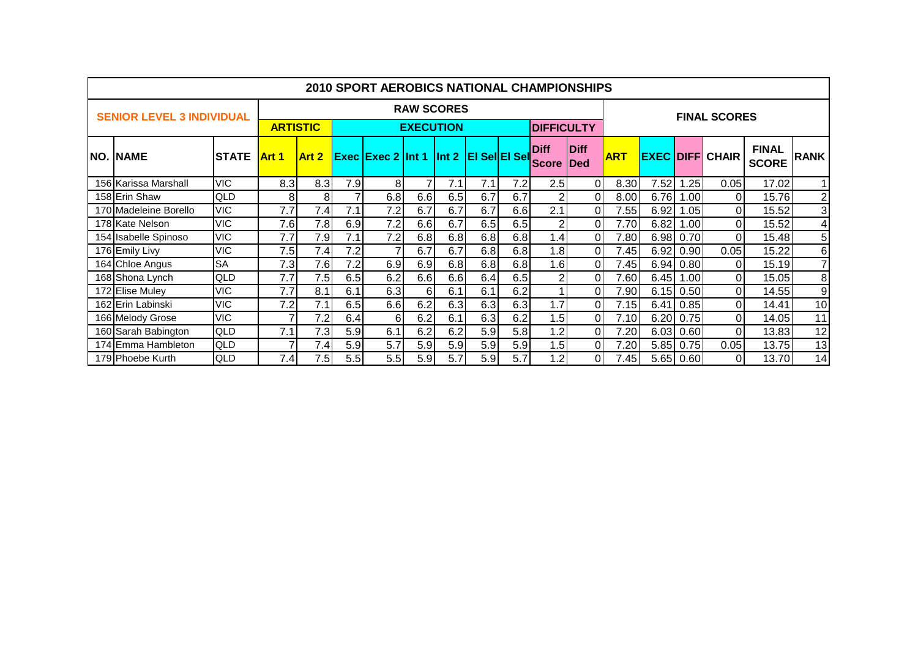|  | 2010 SPORT AEROBICS NATIONAL CHAMPIONSHIPS |               |                                     |       |                   |                                                |                |     |                   |     |                             |                            |            |      |             |                        |                              |                         |
|--|--------------------------------------------|---------------|-------------------------------------|-------|-------------------|------------------------------------------------|----------------|-----|-------------------|-----|-----------------------------|----------------------------|------------|------|-------------|------------------------|------------------------------|-------------------------|
|  | <b>SENIOR LEVEL 3 INDIVIDUAL</b>           |               |                                     |       | <b>RAW SCORES</b> | <b>FINAL SCORES</b>                            |                |     |                   |     |                             |                            |            |      |             |                        |                              |                         |
|  |                                            |               | <b>ARTISTIC</b><br><b>EXECUTION</b> |       |                   |                                                |                |     | <b>DIFFICULTY</b> |     |                             |                            |            |      |             |                        |                              |                         |
|  | <b>NO. NAME</b>                            | <b>ISTATE</b> | <b>Art 1</b>                        | Art 2 |                   | <b>Exec Exec 2 Int 1 Int 2 EI Sell EI Sell</b> |                |     |                   |     | <b>Diff</b><br><b>Score</b> | <b>Diff</b><br><b>IDed</b> | <b>ART</b> |      |             | <b>EXEC DIFF CHAIR</b> | <b>FINAL</b><br><b>SCORE</b> | <b>RANK</b>             |
|  | 156 Karissa Marshall                       | <b>VIC</b>    | 8.3                                 | 8.3   | 7.9               | 8                                              | $\overline{7}$ | 7.1 | 7.1               | 7.2 | 2.5                         | ΟI                         | 8.30       | 7.52 | 1.25        | 0.05                   | 17.02                        |                         |
|  | 158 Erin Shaw                              | <b>QLD</b>    | 8                                   | 8     | 7                 | 6.8                                            | 6.6            | 6.5 | 6.7               | 6.7 | $\overline{2}$              | $\mathbf{0}$               | 8.00       | 6.76 | 1.00        | 0                      | 15.76                        | $\overline{2}$          |
|  | 170 Madeleine Borello                      | <b>VIC</b>    | 7.7                                 | 7.4   | 7.1               | 7.2                                            | 6.7            | 6.7 | 6.7               | 6.6 | 2.1                         | $\Omega$                   | 7.55       | 6.92 | 1.05        | $\Omega$               | 15.52                        | ω                       |
|  | 178 Kate Nelson                            | <b>VIC</b>    | 7.6                                 | 7.8   | 6.9               | 7.2                                            | 6.6            | 6.7 | 6.5               | 6.5 |                             | 0                          | 7.70       | 6.82 | 1.00        | Οl                     | 15.52                        | $\overline{\mathbf{r}}$ |
|  | 154 Isabelle Spinoso                       | <b>VIC</b>    | 7.7                                 | 7.9   | 7.1               | 7.2                                            | 6.8            | 6.8 | 6.8               | 6.8 | 1.4                         | 0                          | 7.80       |      | 6.98 0.70   | Οl                     | 15.48                        | 5                       |
|  | 176 Emily Livy                             | <b>VIC</b>    | 7.5                                 | 7.4   | 7.2               |                                                | 6.7            | 6.7 | 6.8               | 6.8 | 1.8                         | 0                          | 7.45       | 6.92 | 0.90        | 0.05                   | 15.22                        | 6                       |
|  | 164 Chloe Angus                            | <b>SA</b>     | 7.3                                 | 7.6   | 7.2               | 6.9                                            | 6.9            | 6.8 | 6.8               | 6.8 | 1.6                         | ΩI                         | 7.45       |      | 6.94 0.80   | 0                      | 15.19                        | $\overline{7}$          |
|  | 168 Shona Lynch                            | <b>QLD</b>    | 7.7                                 | 7.5   | 6.5               | 6.2                                            | 6.6            | 6.6 | 6.4               | 6.5 |                             | 0                          | 7.60       | 6.45 | 1.00        | 0                      | 15.05                        | 8                       |
|  | 172 Elise Muley                            | <b>VIC</b>    | 7.7                                 | 8.1   | 6.1               | 6.3                                            | 6              | 6.1 | 6.1               | 6.2 |                             | 0                          | 7.90       |      | $6.15$ 0.50 | Οl                     | 14.55                        | 9                       |
|  | 162 Erin Labinski                          | <b>VIC</b>    | 7.2                                 | 7.1   | 6.5               | 6.6                                            | 6.2            | 6.3 | 6.3               | 6.3 | 1.7                         | 0                          | 7.15       | 6.41 | 0.85        | $\overline{0}$         | 14.41                        | 10                      |
|  | 166 Melody Grose                           | <b>VIC</b>    | 7                                   | 7.2   | 6.4               | 6                                              | 6.2            | 6.1 | 6.3               | 6.2 | 1.5                         | ΩI                         | 7.10       | 6.20 | 0.75        | Οl                     | 14.05                        | 11                      |
|  | 160 Sarah Babington                        | <b>QLD</b>    | 7.1                                 | 7.3   | 5.9               | 6.1                                            | 6.2            | 6.2 | 5.9               | 5.8 | 1.2                         | ΩI                         | 7.20       | 6.03 | 0.60        | $\overline{0}$         | 13.83                        | 12                      |
|  | 174 Emma Hambleton                         | <b>QLD</b>    |                                     | 7.4   | 5.9               | 5.7                                            | 5.9            | 5.9 | 5.9               | 5.9 | 1.5                         |                            | 7.20       | 5.85 | 0.75        | 0.05                   | 13.75                        | 13                      |
|  | 179 Phoebe Kurth                           | <b>QLD</b>    | 7.4                                 | 7.5   | 5.5               | 5.5                                            | 5.9            | 5.7 | 5.9               | 5.7 | 1.2                         | ΩI                         | 7.45       |      | 5.65 0.60   | $\Omega$               | 13.70                        | 14                      |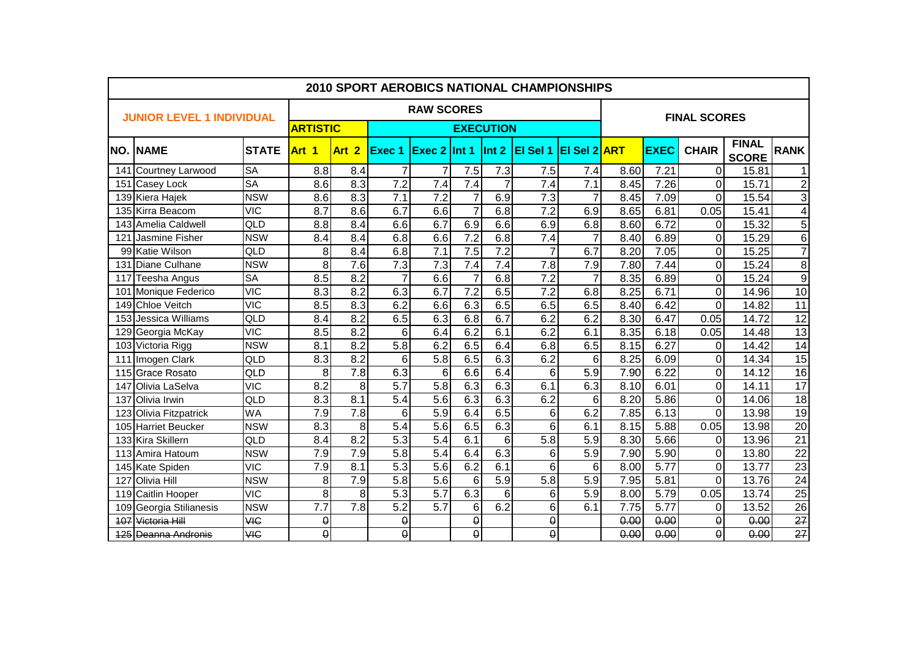| <b>2010 SPORT AEROBICS NATIONAL CHAMPIONSHIPS</b> |                                  |                         |                |                  |                   |                  |                |                |                              |                     |      |             |                |                              |                         |
|---------------------------------------------------|----------------------------------|-------------------------|----------------|------------------|-------------------|------------------|----------------|----------------|------------------------------|---------------------|------|-------------|----------------|------------------------------|-------------------------|
|                                                   | <b>JUNIOR LEVEL 1 INDIVIDUAL</b> |                         |                |                  | <b>RAW SCORES</b> |                  |                |                |                              | <b>FINAL SCORES</b> |      |             |                |                              |                         |
|                                                   |                                  | <b>ARTISTIC</b>         |                |                  |                   | <b>EXECUTION</b> |                |                |                              |                     |      |             |                |                              |                         |
| INO.                                              | <b>NAME</b>                      | <b>STATE</b>            | Art 1          | Art <sub>2</sub> | Exec 1            | Exec 2 Int 1     |                | $\ln t$ 2      | <b>EI Sel 1 EI Sel 2 ART</b> |                     |      | <b>EXEC</b> | <b>CHAIR</b>   | <b>FINAL</b><br><b>SCORE</b> | <b>RANK</b>             |
|                                                   | 141 Courtney Larwood             | <b>SA</b>               | 8.8            | 8.4              | 7                 | 7                | 7.5            | 7.3            | 7.5                          | 7.4                 | 8.60 | 7.21        | 0              | 15.81                        | $\mathbf{1}$            |
|                                                   | 151 Casey Lock                   | <b>SA</b>               | 8.6            | 8.3              | $\overline{7.2}$  | $\overline{7.4}$ | 7.4            | $\overline{7}$ | 7.4                          | 7.1                 | 8.45 | 7.26        | $\mathbf 0$    | 15.71                        | $\overline{2}$          |
|                                                   | 139 Kiera Hajek                  | <b>NSW</b>              | 8.6            | 8.3              | 7.1               | 7.2              | $\overline{7}$ | 6.9            | 7.3                          | $\overline{7}$      | 8.45 | 7.09        | $\Omega$       | 15.54                        | $\overline{3}$          |
|                                                   | 135 Kirra Beacom                 | <b>VIC</b>              | 8.7            | 8.6              | 6.7               | 6.6              | $\overline{7}$ | 6.8            | 7.2                          | 6.9                 | 8.65 | 6.81        | 0.05           | 15.41                        | $\overline{\mathbf{4}}$ |
|                                                   | 143 Amelia Caldwell              | QLD                     | 8.8            | 8.4              | 6.6               | 6.7              | 6.9            | 6.6            | 6.9                          | 6.8                 | 8.60 | 6.72        | $\Omega$       | 15.32                        | $\overline{5}$          |
| 121                                               | Jasmine Fisher                   | <b>NSW</b>              | 8.4            | 8.4              | 6.8               | 6.6              | 7.2            | 6.8            | 7.4                          | $\overline{7}$      | 8.40 | 6.89        | 0              | 15.29                        | $\overline{6}$          |
|                                                   | 99 Katie Wilson                  | QLD                     | 8              | 8.4              | 6.8               | 7.1              | 7.5            | 7.2            | 7                            | 6.7                 | 8.20 | 7.05        | 0              | 15.25                        | $\overline{7}$          |
| 131                                               | Diane Culhane                    | <b>NSW</b>              | 8              | 7.6              | $\overline{7.3}$  | 7.3              | 7.4            | 7.4            | 7.8                          | 7.9                 | 7.80 | 7.44        | 0              | 15.24                        | $\overline{8}$          |
| 117                                               | <b>Teesha Angus</b>              | <b>SA</b>               | 8.5            | 8.2              | $\overline{7}$    | 6.6              | 7              | 6.8            | $\overline{7.2}$             | 7                   | 8.35 | 6.89        | 0              | 15.24                        | $\overline{9}$          |
| 10 <sup>1</sup>                                   | Monique Federico                 | <b>VIC</b>              | 8.3            | 8.2              | 6.3               | 6.7              | 7.2            | 6.5            | 7.2                          | 6.8                 | 8.25 | 6.71        | $\mathbf{0}$   | 14.96                        | 10                      |
|                                                   | 149 Chloe Veitch                 | VIC                     | 8.5            | 8.3              | 6.2               | 6.6              | 6.3            | 6.5            | 6.5                          | 6.5                 | 8.40 | 6.42        | $\Omega$       | 14.82                        | $\overline{11}$         |
|                                                   | 153 Jessica Williams             | QLD                     | 8.4            | 8.2              | 6.5               | 6.3              | 6.8            | 6.7            | 6.2                          | 6.2                 | 8.30 | 6.47        | 0.05           | 14.72                        | $\overline{12}$         |
|                                                   | 129 Georgia McKay                | <b>VIC</b>              | 8.5            | 8.2              | 6                 | 6.4              | 6.2            | 6.1            | 6.2                          | 6.1                 | 8.35 | 6.18        | 0.05           | 14.48                        | 13                      |
|                                                   | 103 Victoria Rigg                | <b>NSW</b>              | 8.1            | 8.2              | $\overline{5.8}$  | 6.2              | 6.5            | 6.4            | 6.8                          | 6.5                 | 8.15 | 6.27        | $\Omega$       | 14.42                        | $\overline{14}$         |
| 111                                               | Imogen Clark                     | QLD                     | 8.3            | 8.2              | 6                 | $\overline{5.8}$ | 6.5            | 6.3            | 6.2                          | 6                   | 8.25 | 6.09        | $\Omega$       | 14.34                        | $\overline{15}$         |
|                                                   | 115 Grace Rosato                 | QLD                     | 8              | 7.8              | 6.3               | $6\phantom{1}6$  | 6.6            | 6.4            | 6                            | 5.9                 | 7.90 | 6.22        | 0              | 14.12                        | $\overline{16}$         |
| 147                                               | Olivia LaSelva                   | $\overline{\text{VIC}}$ | 8.2            | 8                | $\overline{5.7}$  | 5.8              | 6.3            | 6.3            | 6.1                          | 6.3                 | 8.10 | 6.01        | 0              | 14.11                        | 17                      |
| 137                                               | Olivia Irwin                     | QLD                     | 8.3            | 8.1              | 5.4               | 5.6              | 6.3            | 6.3            | 6.2                          | 6                   | 8.20 | 5.86        | 0              | 14.06                        | $\overline{18}$         |
| 123                                               | Olivia Fitzpatrick               | <b>WA</b>               | 7.9            | $\overline{7.8}$ | 6                 | 5.9              | 6.4            | 6.5            | 6                            | 6.2                 | 7.85 | 6.13        | $\Omega$       | 13.98                        | 19                      |
| 105                                               | <b>Harriet Beucker</b>           | <b>NSW</b>              | 8.3            | 8                | 5.4               | 5.6              | 6.5            | 6.3            | 6                            | 6.1                 | 8.15 | 5.88        | 0.05           | 13.98                        | $\overline{20}$         |
|                                                   | 133 Kira Skillern                | <b>QLD</b>              | 8.4            | 8.2              | $\overline{5.3}$  | 5.4              | 6.1            | 6              | 5.8                          | 5.9                 | 8.30 | 5.66        | $\Omega$       | 13.96                        | $\overline{21}$         |
|                                                   | 113 Amira Hatoum                 | <b>NSW</b>              | 7.9            | 7.9              | 5.8               | 5.4              | 6.4            | 6.3            | 6                            | 5.9                 | 7.90 | 5.90        | $\overline{0}$ | 13.80                        | $\overline{22}$         |
|                                                   | 145 Kate Spiden                  | <b>VIC</b>              | 7.9            | 8.1              | $\overline{5.3}$  | 5.6              | 6.2            | 6.1            | 6                            | 6                   | 8.00 | 5.77        | 0              | 13.77                        | $\overline{23}$         |
| 127                                               | Olivia Hill                      | <b>NSW</b>              | 8              | 7.9              | 5.8               | 5.6              | 6              | 5.9            | 5.8                          | 5.9                 | 7.95 | 5.81        | 0              | 13.76                        | $\overline{24}$         |
| 119                                               | Caitlin Hooper                   | <b>VIC</b>              | 8              | 8                | 5.3               | 5.7              | 6.3            | 6              | 6                            | 5.9                 | 8.00 | 5.79        | 0.05           | 13.74                        | $\overline{25}$         |
| 109                                               | Georgia Stilianesis              | <b>NSW</b>              | 7.7            | 7.8              | 5.2               | $\overline{5.7}$ | 6              | 6.2            | 6                            | 6.1                 | 7.75 | 5.77        | 0              | 13.52                        | $\overline{26}$         |
| 407                                               | Victoria Hill                    | <b>VIC</b>              | $\pmb{\Theta}$ |                  | $\pmb{\Theta}$    |                  | $\pmb{0}$      |                | $\pmb{0}$                    |                     | 0.00 | 0.00        | $\pmb{0}$      | 0.00                         | $\overline{27}$         |
|                                                   | <b>125 Deanna Andronis</b>       | <b>VIC</b>              | $\theta$       |                  | $\pmb{0}$         |                  | $\pmb{\Theta}$ |                | 0                            |                     | 0.00 | 0.00        | $\theta$       | 0.00                         | $\overline{27}$         |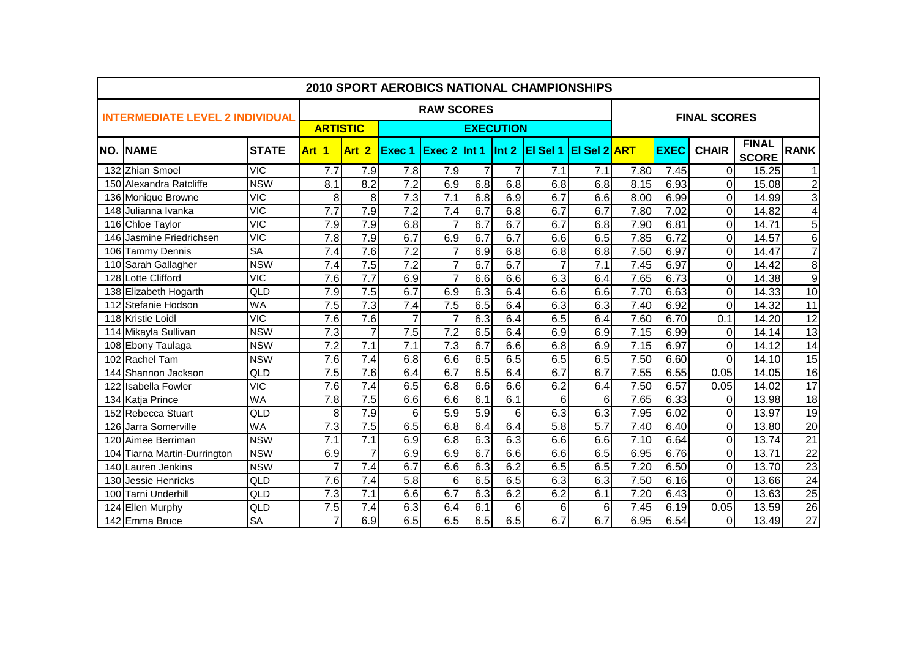|      | 2010 SPORT AEROBICS NATIONAL CHAMPIONSHIPS |              |                  |                  |                   |                     |                |                |                  |                     |                   |             |                |                              |                 |  |  |
|------|--------------------------------------------|--------------|------------------|------------------|-------------------|---------------------|----------------|----------------|------------------|---------------------|-------------------|-------------|----------------|------------------------------|-----------------|--|--|
|      | <b>INTERMEDIATE LEVEL 2 INDIVIDUAL</b>     |              |                  |                  | <b>RAW SCORES</b> | <b>FINAL SCORES</b> |                |                |                  |                     |                   |             |                |                              |                 |  |  |
|      |                                            |              | <b>ARTISTIC</b>  |                  | <b>EXECUTION</b>  |                     |                |                |                  |                     |                   |             |                |                              |                 |  |  |
| INO. | <b>INAME</b>                               | <b>STATE</b> | Art 1            | Art 2            | <b>Exec 1</b>     | <b>Exec 2 Int 1</b> |                | $\ln t$ 2      | El Sel 1         | <b>EI Sel 2 ART</b> |                   | <b>EXEC</b> | <b>CHAIR</b>   | <b>FINAL</b><br><b>SCORE</b> | <b>RANK</b>     |  |  |
|      | 132 Zhian Smoel                            | <b>VIC</b>   | 7.7              | 7.9              | 7.8               | 7.9                 | $\overline{7}$ | $\overline{7}$ | 7.1              | 7.1                 | 7.80              | 7.45        | $\Omega$       | 15.25                        | 1               |  |  |
|      | 150 Alexandra Ratcliffe                    | <b>NSW</b>   | 8.1              | 8.2              | 7.2               | 6.9                 | 6.8            | 6.8            | 6.8              | 6.8                 | 8.15              | 6.93        | $\overline{0}$ | 15.08                        | $\frac{2}{3}$   |  |  |
|      | 136 Monique Browne                         | <b>VIC</b>   | 8                | 8                | 7.3               | 7.1                 | 6.8            | 6.9            | 6.7              | 6.6                 | 8.00              | 6.99        | $\overline{0}$ | 14.99                        |                 |  |  |
|      | 148 Julianna Ivanka                        | <b>VIC</b>   | 7.7              | 7.9              | 7.2               | 7.4                 | 6.7            | 6.8            | 6.7              | 6.7                 | 7.80              | 7.02        | $\overline{0}$ | 14.82                        | $\overline{4}$  |  |  |
|      | 116 Chloe Taylor                           | VIC          | 7.9              | 7.9              | 6.8               | $\overline{7}$      | 6.7            | 6.7            | 6.7              | 6.8                 | 7.90              | 6.81        | $\Omega$       | 14.71                        | $\overline{5}$  |  |  |
|      | 146 Jasmine Friedrichsen                   | VIC          | 7.8              | 7.9              | 6.7               | 6.9                 | 6.7            | 6.7            | 6.6              | 6.5                 | 7.85              | 6.72        | $\overline{0}$ | 14.57                        | $\overline{6}$  |  |  |
|      | 106 Tammy Dennis                           | <b>SA</b>    | 7.4              | 7.6              | $\overline{7.2}$  | $\overline{7}$      | 6.9            | 6.8            | 6.8              | 6.8                 | 7.50              | 6.97        | $\overline{0}$ | 14.47                        | $\overline{7}$  |  |  |
|      | 110 Sarah Gallagher                        | <b>NSW</b>   | 7.4              | 7.5              | 7.2               | $\overline{7}$      | 6.7            | 6.7            |                  | 7.1                 | $\overline{7.45}$ | 6.97        | $\overline{0}$ | 14.42                        | $\overline{8}$  |  |  |
|      | 128 Lotte Clifford                         | VIC          | $\overline{7.6}$ | $\overline{7.7}$ | 6.9               | $\overline{7}$      | 6.6            | 6.6            | 6.3              | 6.4                 | 7.65              | 6.73        | $\Omega$       | 14.38                        | $\overline{9}$  |  |  |
|      | 138 Elizabeth Hogarth                      | QLD          | 7.9              | 7.5              | 6.7               | 6.9                 | 6.3            | 6.4            | 6.6              | 6.6                 | 7.70              | 6.63        | $\Omega$       | 14.33                        | 10              |  |  |
|      | 112 Stefanie Hodson                        | <b>WA</b>    | 7.5              | $\overline{7.3}$ | 7.4               | 7.5                 | 6.5            | 6.4            | 6.3              | 6.3                 | 7.40              | 6.92        | $\overline{0}$ | 14.32                        | 11              |  |  |
|      | 118 Kristie Loidl                          | <b>VIC</b>   | 7.6              | 7.6              | 7                 | 7                   | 6.3            | 6.4            | 6.5              | 6.4                 | 7.60              | 6.70        | 0.1            | 14.20                        | 12              |  |  |
|      | 114 Mikayla Sullivan                       | <b>NSW</b>   | $\overline{7.3}$ | $\overline{7}$   | 7.5               | 7.2                 | 6.5            | 6.4            | 6.9              | 6.9                 | 7.15              | 6.99        | $\Omega$       | 14.14                        | 13              |  |  |
|      | 108 Ebony Taulaga                          | <b>NSW</b>   | $\overline{7.2}$ | $\overline{7.1}$ | 7.1               | $\overline{7.3}$    | 6.7            | 6.6            | 6.8              | 6.9                 | 7.15              | 6.97        | $\Omega$       | 14.12                        | 14              |  |  |
|      | 102 Rachel Tam                             | <b>NSW</b>   | 7.6              | $\overline{7.4}$ | 6.8               | 6.6                 | 6.5            | 6.5            | 6.5              | 6.5                 | 7.50              | 6.60        | $\overline{0}$ | 14.10                        | 15              |  |  |
|      | 144 Shannon Jackson                        | QLD          | 7.5              | 7.6              | 6.4               | 6.7                 | 6.5            | 6.4            | 6.7              | 6.7                 | 7.55              | 6.55        | 0.05           | 14.05                        | 16              |  |  |
|      | 122 Isabella Fowler                        | <b>VIC</b>   | 7.6              | $\overline{7.4}$ | 6.5               | 6.8                 | 6.6            | 6.6            | 6.2              | 6.4                 | 7.50              | 6.57        | 0.05           | 14.02                        | $\overline{17}$ |  |  |
|      | 134 Katja Prince                           | <b>WA</b>    | $\overline{7.8}$ | 7.5              | 6.6               | 6.6                 | 6.1            | 6.1            | 6                | 6                   | 7.65              | 6.33        | $\overline{0}$ | 13.98                        | $\overline{18}$ |  |  |
|      | 152 Rebecca Stuart                         | QLD          | 8                | 7.9              | 6                 | 5.9                 | 5.9            | 6              | 6.3              | 6.3                 | 7.95              | 6.02        | $\overline{0}$ | 13.97                        | 19              |  |  |
| 126  | Jarra Somerville                           | <b>WA</b>    | $\overline{7.3}$ | 7.5              | 6.5               | 6.8                 | 6.4            | 6.4            | $\overline{5.8}$ | $\overline{5.7}$    | 7.40              | 6.40        | $\overline{0}$ | 13.80                        | $\overline{20}$ |  |  |
|      | 120 Aimee Berriman                         | <b>NSW</b>   | 7.1              | 7.1              | 6.9               | 6.8                 | 6.3            | 6.3            | 6.6              | 6.6                 | 7.10              | 6.64        | $\overline{0}$ | 13.74                        | $\overline{21}$ |  |  |
|      | 104 Tiarna Martin-Durrington               | <b>NSW</b>   | 6.9              | $\overline{7}$   | 6.9               | 6.9                 | 6.7            | 6.6            | 6.6              | 6.5                 | 6.95              | 6.76        | $\overline{0}$ | 13.71                        | $\overline{22}$ |  |  |
|      | 140 Lauren Jenkins                         | <b>NSW</b>   |                  | 7.4              | 6.7               | 6.6                 | 6.3            | 6.2            | 6.5              | 6.5                 | 7.20              | 6.50        | $\overline{0}$ | 13.70                        | 23              |  |  |
|      | 130 Jessie Henricks                        | QLD          | 7.6              | 7.4              | 5.8               | 6                   | 6.5            | 6.5            | 6.3              | 6.3                 | 7.50              | 6.16        | $\overline{0}$ | 13.66                        | $\overline{24}$ |  |  |
| 100  | <b>Tarni Underhill</b>                     | QLD          | 7.3              | 7.1              | 6.6               | 6.7                 | 6.3            | 6.2            | 6.2              | 6.1                 | 7.20              | 6.43        | $\overline{0}$ | 13.63                        | 25              |  |  |
|      | 124 Ellen Murphy                           | QLD          | 7.5              | 7.4              | 6.3               | 6.4                 | 6.1            | 6              | 6                | 6                   | 7.45              | 6.19        | 0.05           | 13.59                        | 26              |  |  |
|      | 142 Emma Bruce                             | <b>SA</b>    | $\overline{7}$   | 6.9              | 6.5               | 6.5                 | 6.5            | 6.5            | 6.7              | 6.7                 | 6.95              | 6.54        | $\overline{0}$ | 13.49                        | 27              |  |  |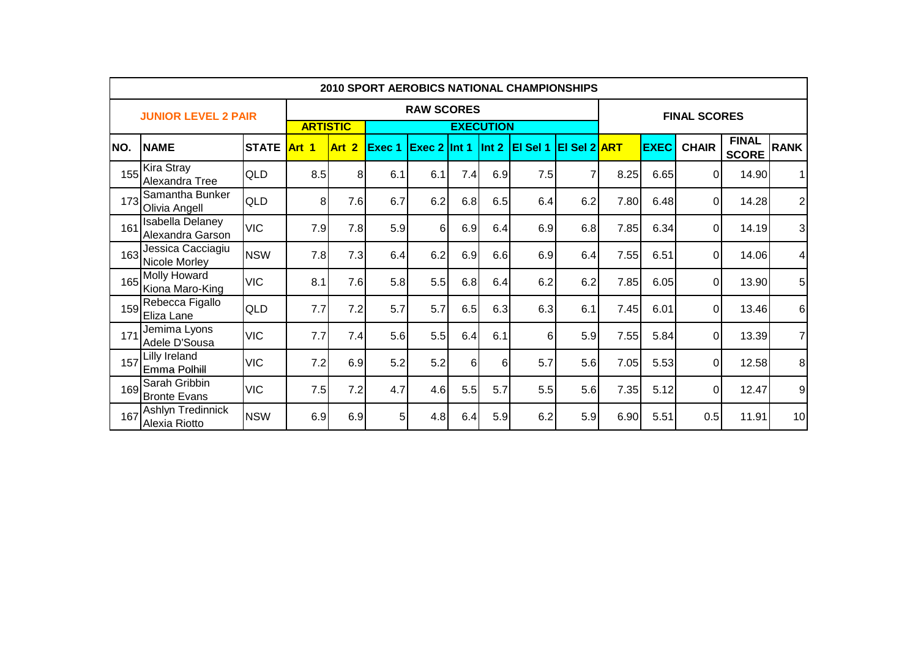|      | <b>2010 SPORT AEROBICS NATIONAL CHAMPIONSHIPS</b> |              |                 |                                       |                   |                     |                  |       |                  |                     |      |             |              |                              |                         |
|------|---------------------------------------------------|--------------|-----------------|---------------------------------------|-------------------|---------------------|------------------|-------|------------------|---------------------|------|-------------|--------------|------------------------------|-------------------------|
|      | <b>JUNIOR LEVEL 2 PAIR</b>                        |              |                 |                                       | <b>RAW SCORES</b> | <b>FINAL SCORES</b> |                  |       |                  |                     |      |             |              |                              |                         |
|      |                                                   |              | <b>ARTISTIC</b> |                                       |                   |                     | <b>EXECUTION</b> |       |                  |                     |      |             |              |                              |                         |
| INO. | <b>NAME</b>                                       | <b>STATE</b> | Art 1           | $\overline{\mathbf{2}}$<br><b>Art</b> | Exec 1            | <b>Exec 2 Int 1</b> |                  | Int 2 | <b>IEI Sel 1</b> | <b>EI Sel 2 ART</b> |      | <b>EXEC</b> | <b>CHAIR</b> | <b>FINAL</b><br><b>SCORE</b> | <b>RANK</b>             |
| 155  | <b>Kira Stray</b><br>Alexandra Tree               | <b>QLD</b>   | 8.5             | 8                                     | 6.1               | 6.1                 | 7.4              | 6.9   | 7.5              | $\overline{7}$      | 8.25 | 6.65        | $\Omega$     | 14.90                        | 11                      |
| 173  | Samantha Bunker<br>Olivia Angell                  | <b>QLD</b>   | 8               | 7.6                                   | 6.7               | 6.2                 | 6.8              | 6.5   | 6.4              | 6.2                 | 7.80 | 6.48        | $\Omega$     | 14.28                        | 2                       |
| 161  | Isabella Delaney<br>Alexandra Garson              | <b>VIC</b>   | 7.9             | 7.8                                   | 5.9               | 6                   | 6.9              | 6.4   | 6.9              | 6.8                 | 7.85 | 6.34        | $\Omega$     | 14.19                        | $\overline{\mathbf{3}}$ |
| 163  | Jessica Cacciagiu<br>Nicole Morley                | <b>NSW</b>   | 7.8             | 7.3                                   | 6.4               | 6.2                 | 6.9              | 6.6   | 6.9              | 6.4                 | 7.55 | 6.51        | $\Omega$     | 14.06                        | 4 <sup>1</sup>          |
| 165  | Molly Howard<br>Kiona Maro-King                   | <b>VIC</b>   | 8.1             | 7.6                                   | 5.8               | 5.5                 | 6.8              | 6.4   | 6.2              | 6.2                 | 7.85 | 6.05        | $\Omega$     | 13.90                        | $5\vert$                |
| 159  | Rebecca Figallo<br>Eliza Lane                     | <b>QLD</b>   | 7.7             | 7.2                                   | 5.7               | 5.7                 | 6.5              | 6.3   | 6.3              | 6.1                 | 7.45 | 6.01        | $\Omega$     | 13.46                        | $6 \mid$                |
| 171  | Jemima Lyons<br>Adele D'Sousa                     | <b>VIC</b>   | 7.7             | 7.4                                   | 5.6               | 5.5                 | 6.4              | 6.1   | 6                | 5.9                 | 7.55 | 5.84        | $\Omega$     | 13.39                        | 7                       |
| 157  | Lilly Ireland<br>Emma Polhill                     | <b>VIC</b>   | 7.2             | 6.9                                   | 5.2               | 5.2                 | 6                | 6     | 5.7              | 5.6                 | 7.05 | 5.53        | $\Omega$     | 12.58                        | 8 <sup>1</sup>          |
| 169  | Sarah Gribbin<br><b>Bronte Evans</b>              | <b>VIC</b>   | 7.5             | 7.2                                   | 4.7               | 4.6                 | 5.5              | 5.7   | 5.5              | 5.6                 | 7.35 | 5.12        | $\Omega$     | 12.47                        | 9                       |
| 167  | Ashlyn Tredinnick<br>Alexia Riotto                | <b>NSW</b>   | 6.9             | 6.9                                   | 5                 | 4.8                 | 6.4              | 5.9   | 6.2              | 5.9                 | 6.90 | 5.51        | 0.5          | 11.91                        | 10 <sub>1</sub>         |